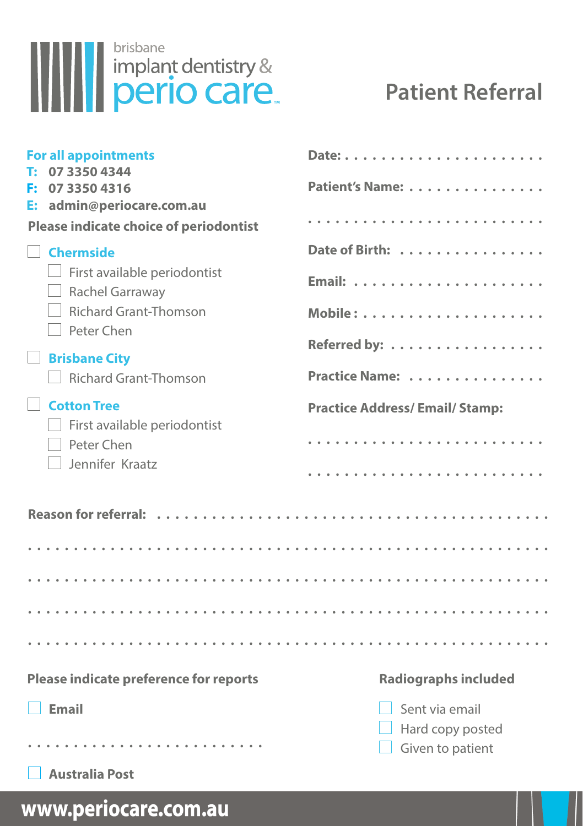

## **Patient Referral**

| <b>For all appointments</b><br>07 3350 4344                   |                                      |
|---------------------------------------------------------------|--------------------------------------|
| 07 3350 4316<br>F.<br>admin@periocare.com.au<br>E:            | Patient's Name:                      |
| <b>Please indicate choice of periodontist</b>                 |                                      |
| <b>Chermside</b>                                              | Date of Birth:                       |
| First available periodontist<br>Rachel Garraway               |                                      |
| Richard Grant-Thomson<br>Peter Chen                           |                                      |
| <b>Brisbane City</b>                                          | Referred by:                         |
| <b>Richard Grant-Thomson</b>                                  | Practice Name:                       |
| <b>Cotton Tree</b>                                            | <b>Practice Address/Email/Stamp:</b> |
| First available periodontist<br>Peter Chen<br>Jennifer Kraatz |                                      |
|                                                               |                                      |
|                                                               |                                      |
|                                                               |                                      |
|                                                               |                                      |
|                                                               |                                      |
|                                                               |                                      |
| Please indicate preference for reports                        | <b>Radiographs included</b>          |
| Email                                                         | Sent via email                       |
|                                                               | Hard copy posted<br>Given to patient |
| <b>Australia Post</b>                                         |                                      |

www.periocare.com.au